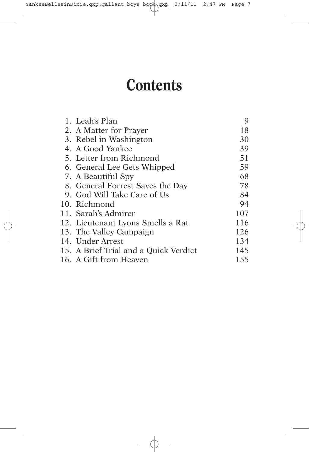## **Contents**

| 1. Leah's Plan                        | 9   |
|---------------------------------------|-----|
| 2. A Matter for Prayer                | 18  |
| 3. Rebel in Washington                | 30  |
| 4. A Good Yankee                      | 39  |
| 5. Letter from Richmond               | 51  |
| 6. General Lee Gets Whipped           | 59  |
| 7. A Beautiful Spy                    | 68  |
| 8. General Forrest Saves the Day      | 78  |
| 9. God Will Take Care of Us           | 84  |
| 10. Richmond                          | 94  |
| 11. Sarah's Admirer                   | 107 |
| 12. Lieutenant Lyons Smells a Rat     | 116 |
| 13. The Valley Campaign               | 126 |
| 14. Under Arrest                      | 134 |
| 15. A Brief Trial and a Quick Verdict | 145 |
| 16. A Gift from Heaven                | 155 |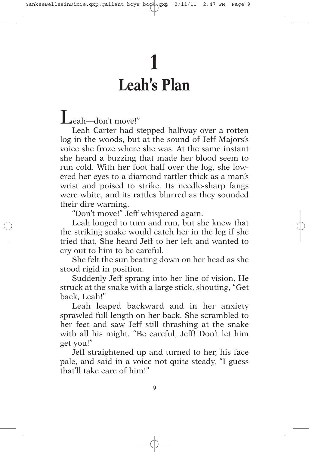## **1 Leah's Plan**

Leah—don't move!"

Leah Carter had stepped halfway over a rotten log in the woods, but at the sound of Jeff Majors's voice she froze where she was. At the same instant she heard a buzzing that made her blood seem to run cold. With her foot half over the log, she lowered her eyes to a diamond rattler thick as a man's wrist and poised to strike. Its needle-sharp fangs were white, and its rattles blurred as they sounded their dire warning.

"Don't move!" Jeff whispered again.

Leah longed to turn and run, but she knew that the striking snake would catch her in the leg if she tried that. She heard Jeff to her left and wanted to cry out to him to be careful.

She felt the sun beating down on her head as she stood rigid in position.

Suddenly Jeff sprang into her line of vision. He struck at the snake with a large stick, shouting, "Get back, Leah!"

Leah leaped backward and in her anxiety sprawled full length on her back. She scrambled to her feet and saw Jeff still thrashing at the snake with all his might. "Be careful, Jeff! Don't let him get you!"

Jeff straightened up and turned to her, his face pale, and said in a voice not quite steady, "I guess that'll take care of him!"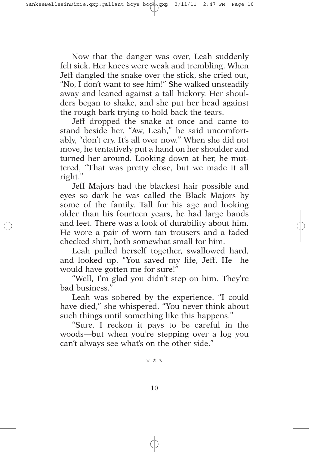Now that the danger was over, Leah suddenly felt sick. Her knees were weak and trembling. When Jeff dangled the snake over the stick, she cried out, "No, I don't want to see him!" She walked unsteadily away and leaned against a tall hickory. Her shoulders began to shake, and she put her head against the rough bark trying to hold back the tears.

Jeff dropped the snake at once and came to stand beside her. "Aw, Leah," he said uncomfortably, "don't cry. It's all over now." When she did not move, he tentatively put a hand on her shoulder and turned her around. Looking down at her, he muttered, "That was pretty close, but we made it all right."

Jeff Majors had the blackest hair possible and eyes so dark he was called the Black Majors by some of the family. Tall for his age and looking older than his fourteen years, he had large hands and feet. There was a look of durability about him. He wore a pair of worn tan trousers and a faded checked shirt, both somewhat small for him.

Leah pulled herself together, swallowed hard, and looked up. "You saved my life, Jeff. He—he would have gotten me for sure!"

"Well, I'm glad you didn't step on him. They're bad business."

Leah was sobered by the experience. "I could have died," she whispered. "You never think about such things until something like this happens."

"Sure. I reckon it pays to be careful in the woods—but when you're stepping over a log you can't always see what's on the other side."

\* \* \*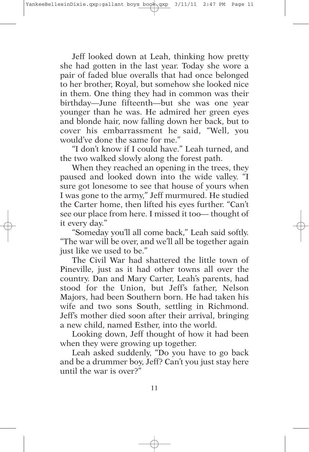Jeff looked down at Leah, thinking how pretty she had gotten in the last year. Today she wore a pair of faded blue overalls that had once belonged to her brother, Royal, but somehow she looked nice in them. One thing they had in common was their birthday—June fifteenth—but she was one year younger than he was. He admired her green eyes and blonde hair, now falling down her back, but to cover his embarrassment he said, "Well, you would've done the same for me."

"I don't know if I could have." Leah turned, and the two walked slowly along the forest path.

When they reached an opening in the trees, they paused and looked down into the wide valley. "I sure got lonesome to see that house of yours when I was gone to the army," Jeff murmured. He studied the Carter home, then lifted his eyes further. "Can't see our place from here. I missed it too— thought of it every day."

"Someday you'll all come back," Leah said softly. "The war will be over, and we'll all be together again just like we used to be."

The Civil War had shattered the little town of Pineville, just as it had other towns all over the country. Dan and Mary Carter, Leah's parents, had stood for the Union, but Jeff's father, Nelson Majors, had been Southern born. He had taken his wife and two sons South, settling in Richmond. Jeff's mother died soon after their arrival, bringing a new child, named Esther, into the world.

Looking down, Jeff thought of how it had been when they were growing up together.

Leah asked suddenly, "Do you have to go back and be a drummer boy, Jeff? Can't you just stay here until the war is over?"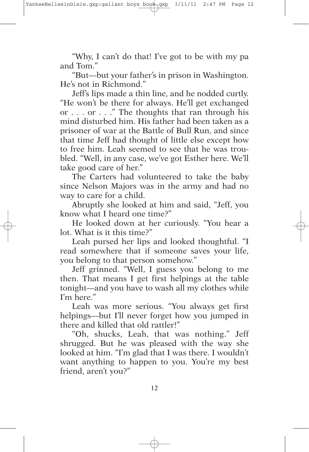"Why, I can't do that! I've got to be with my pa and Tom."

"But—but your father's in prison in Washington. He's not in Richmond."

Jeff's lips made a thin line, and he nodded curtly. "He won't be there for always. He'll get exchanged or . . . or . . ." The thoughts that ran through his mind disturbed him. His father had been taken as a prisoner of war at the Battle of Bull Run, and since that time Jeff had thought of little else except how to free him. Leah seemed to see that he was troubled. "Well, in any case, we've got Esther here. We'll take good care of her."

The Carters had volunteered to take the baby since Nelson Majors was in the army and had no way to care for a child.

Abruptly she looked at him and said, "Jeff, you know what I heard one time?"

He looked down at her curiously. "You hear a lot. What is it this time?"

Leah pursed her lips and looked thoughtful. "I read somewhere that if someone saves your life, you belong to that person somehow."

Jeff grinned. "Well, I guess you belong to me then. That means I get first helpings at the table tonight—and you have to wash all my clothes while I'm here."

Leah was more serious. "You always get first helpings—but I'll never forget how you jumped in there and killed that old rattler!"

"Oh, shucks, Leah, that was nothing." Jeff shrugged. But he was pleased with the way she looked at him. "I'm glad that I was there. I wouldn't want anything to happen to you. You're my best friend, aren't you?"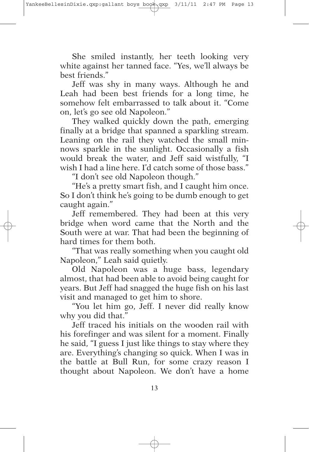She smiled instantly, her teeth looking very white against her tanned face. "Yes, we'll always be best friends."

Jeff was shy in many ways. Although he and Leah had been best friends for a long time, he somehow felt embarrassed to talk about it. "Come on, let's go see old Napoleon."

They walked quickly down the path, emerging finally at a bridge that spanned a sparkling stream. Leaning on the rail they watched the small minnows sparkle in the sunlight. Occasionally a fish would break the water, and Jeff said wistfully, "I wish I had a line here. I'd catch some of those bass."

"I don't see old Napoleon though."

"He's a pretty smart fish, and I caught him once. So I don't think he's going to be dumb enough to get caught again."

Jeff remembered. They had been at this very bridge when word came that the North and the South were at war. That had been the beginning of hard times for them both.

"That was really something when you caught old Napoleon," Leah said quietly.

Old Napoleon was a huge bass, legendary almost, that had been able to avoid being caught for years. But Jeff had snagged the huge fish on his last visit and managed to get him to shore.

"You let him go, Jeff. I never did really know why you did that."

Jeff traced his initials on the wooden rail with his forefinger and was silent for a moment. Finally he said, "I guess I just like things to stay where they are. Everything's changing so quick. When I was in the battle at Bull Run, for some crazy reason I thought about Napoleon. We don't have a home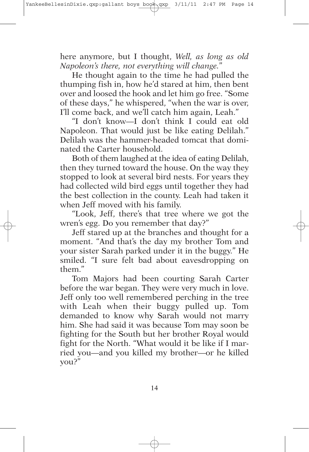here anymore, but I thought, *Well, as long as old Napoleon's there, not everything will change.*"

He thought again to the time he had pulled the thumping fish in, how he'd stared at him, then bent over and loosed the hook and let him go free. "Some of these days," he whispered, "when the war is over, I'll come back, and we'll catch him again, Leah."

"I don't know—I don't think I could eat old Napoleon. That would just be like eating Delilah." Delilah was the hammer-headed tomcat that dominated the Carter household.

Both of them laughed at the idea of eating Delilah, then they turned toward the house. On the way they stopped to look at several bird nests. For years they had collected wild bird eggs until together they had the best collection in the county. Leah had taken it when Jeff moved with his family.

"Look, Jeff, there's that tree where we got the wren's egg. Do you remember that day?"

Jeff stared up at the branches and thought for a moment. "And that's the day my brother Tom and your sister Sarah parked under it in the buggy." He smiled. "I sure felt bad about eavesdropping on them."

Tom Majors had been courting Sarah Carter before the war began. They were very much in love. Jeff only too well remembered perching in the tree with Leah when their buggy pulled up. Tom demanded to know why Sarah would not marry him. She had said it was because Tom may soon be fighting for the South but her brother Royal would fight for the North. "What would it be like if I married you—and you killed my brother—or he killed you?"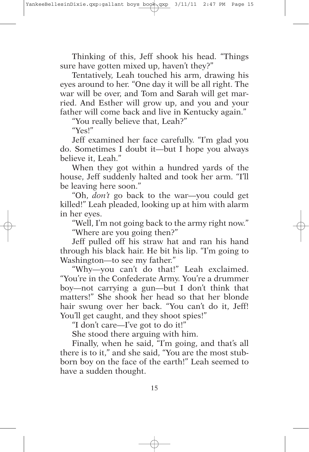Thinking of this, Jeff shook his head. "Things sure have gotten mixed up, haven't they?"

Tentatively, Leah touched his arm, drawing his eyes around to her. "One day it will be all right. The war will be over, and Tom and Sarah will get married. And Esther will grow up, and you and your father will come back and live in Kentucky again."

"You really believe that, Leah?"

"Yes!"

Jeff examined her face carefully. "I'm glad you do. Sometimes I doubt it—but I hope you always believe it, Leah."

When they got within a hundred yards of the house, Jeff suddenly halted and took her arm. "I'll be leaving here soon."

"Oh, *don't* go back to the war—you could get killed!" Leah pleaded, looking up at him with alarm in her eyes.

"Well, I'm not going back to the army right now." "Where are you going then?"

Jeff pulled off his straw hat and ran his hand through his black hair. He bit his lip. "I'm going to Washington—to see my father."

"Why—you can't do that!" Leah exclaimed. "You're in the Confederate Army. You're a drummer boy—not carrying a gun—but I don't think that matters!" She shook her head so that her blonde hair swung over her back. "You can't do it, Jeff! You'll get caught, and they shoot spies!"

"I don't care—I've got to do it!"

She stood there arguing with him.

Finally, when he said, "I'm going, and that's all there is to it," and she said, "You are the most stubborn boy on the face of the earth!" Leah seemed to have a sudden thought.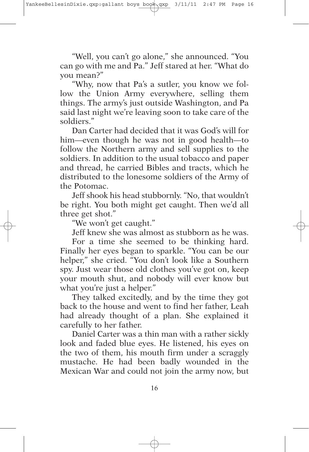"Well, you can't go alone," she announced. "You can go with me and Pa." Jeff stared at her. "What do you mean?"

"Why, now that Pa's a sutler, you know we follow the Union Army everywhere, selling them things. The army's just outside Washington, and Pa said last night we're leaving soon to take care of the soldiers."

Dan Carter had decided that it was God's will for him—even though he was not in good health—to follow the Northern army and sell supplies to the soldiers. In addition to the usual tobacco and paper and thread, he carried Bibles and tracts, which he distributed to the lonesome soldiers of the Army of the Potomac.

Jeff shook his head stubbornly. "No, that wouldn't be right. You both might get caught. Then we'd all three get shot."

"We won't get caught."

Jeff knew she was almost as stubborn as he was.

For a time she seemed to be thinking hard. Finally her eyes began to sparkle. "You can be our helper," she cried. "You don't look like a Southern spy. Just wear those old clothes you've got on, keep your mouth shut, and nobody will ever know but what you're just a helper."

They talked excitedly, and by the time they got back to the house and went to find her father, Leah had already thought of a plan. She explained it carefully to her father.

Daniel Carter was a thin man with a rather sickly look and faded blue eyes. He listened, his eyes on the two of them, his mouth firm under a scraggly mustache. He had been badly wounded in the Mexican War and could not join the army now, but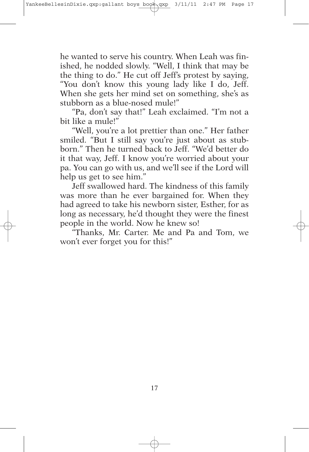he wanted to serve his country. When Leah was finished, he nodded slowly. "Well, I think that may be the thing to do." He cut off Jeff's protest by saying, "You don't know this young lady like I do, Jeff. When she gets her mind set on something, she's as stubborn as a blue-nosed mule!"

"Pa, don't say that!" Leah exclaimed. "I'm not a bit like a mule!"

"Well, you're a lot prettier than one." Her father smiled. "But I still say you're just about as stubborn." Then he turned back to Jeff. "We'd better do it that way, Jeff. I know you're worried about your pa. You can go with us, and we'll see if the Lord will help us get to see him."

Jeff swallowed hard. The kindness of this family was more than he ever bargained for. When they had agreed to take his newborn sister, Esther, for as long as necessary, he'd thought they were the finest people in the world. Now he knew so!

"Thanks, Mr. Carter. Me and Pa and Tom, we won't ever forget you for this!"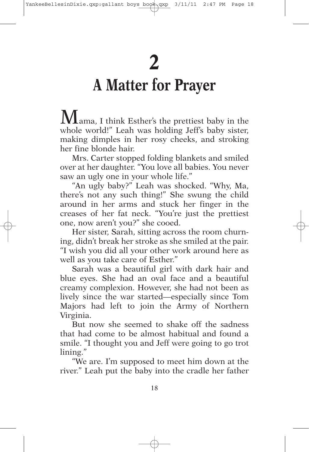## **A Matter for Prayer**

Mama, I think Esther's the prettiest baby in the whole world!" Leah was holding Jeff's baby sister, making dimples in her rosy cheeks, and stroking her fine blonde hair.

Mrs. Carter stopped folding blankets and smiled over at her daughter. "You love all babies. You never saw an ugly one in your whole life."

"An ugly baby?" Leah was shocked. "Why, Ma, there's not any such thing!" She swung the child around in her arms and stuck her finger in the creases of her fat neck. "You're just the prettiest one, now aren't you?" she cooed.

Her sister, Sarah, sitting across the room churning, didn't break her stroke as she smiled at the pair. "I wish you did all your other work around here as well as you take care of Esther."

Sarah was a beautiful girl with dark hair and blue eyes. She had an oval face and a beautiful creamy complexion. However, she had not been as lively since the war started—especially since Tom Majors had left to join the Army of Northern Virginia.

But now she seemed to shake off the sadness that had come to be almost habitual and found a smile. "I thought you and Jeff were going to go trot lining."

"We are. I'm supposed to meet him down at the river." Leah put the baby into the cradle her father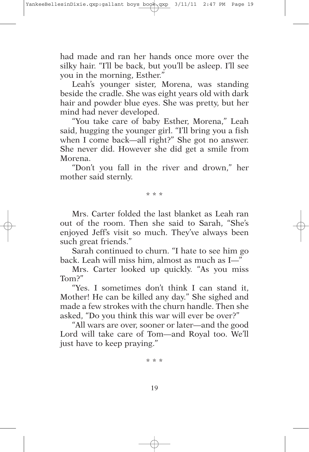had made and ran her hands once more over the silky hair. "I'll be back, but you'll be asleep. I'll see you in the morning, Esther."

Leah's younger sister, Morena, was standing beside the cradle. She was eight years old with dark hair and powder blue eyes. She was pretty, but her mind had never developed.

"You take care of baby Esther, Morena," Leah said, hugging the younger girl. "I'll bring you a fish when I come back—all right?" She got no answer. She never did. However she did get a smile from Morena.

"Don't you fall in the river and drown," her mother said sternly.

\* \* \*

Mrs. Carter folded the last blanket as Leah ran out of the room. Then she said to Sarah, "She's enjoyed Jeff's visit so much. They've always been such great friends."

Sarah continued to churn. "I hate to see him go back. Leah will miss him, almost as much as I—"

Mrs. Carter looked up quickly. "As you miss Tom?"

"Yes. I sometimes don't think I can stand it, Mother! He can be killed any day." She sighed and made a few strokes with the churn handle. Then she asked, "Do you think this war will ever be over?"

"All wars are over, sooner or later—and the good Lord will take care of Tom—and Royal too. We'll just have to keep praying."

\* \* \*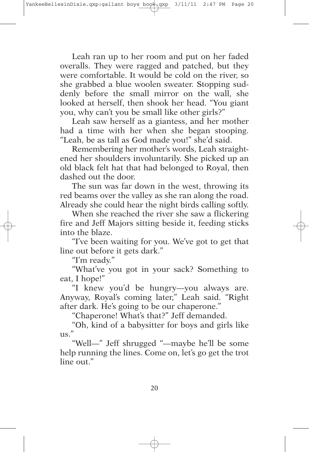Leah ran up to her room and put on her faded overalls. They were ragged and patched, but they were comfortable. It would be cold on the river, so she grabbed a blue woolen sweater. Stopping suddenly before the small mirror on the wall, she looked at herself, then shook her head. "You giant you, why can't you be small like other girls?"

Leah saw herself as a giantess, and her mother had a time with her when she began stooping. "Leah, be as tall as God made you!" she'd said.

Remembering her mother's words, Leah straightened her shoulders involuntarily. She picked up an old black felt hat that had belonged to Royal, then dashed out the door.

The sun was far down in the west, throwing its red beams over the valley as she ran along the road. Already she could hear the night birds calling softly.

When she reached the river she saw a flickering fire and Jeff Majors sitting beside it, feeding sticks into the blaze.

"I've been waiting for you. We've got to get that line out before it gets dark."

"I'm ready."

"What've you got in your sack? Something to eat, I hope!"

"I knew you'd be hungry—you always are. Anyway, Royal's coming later," Leah said. "Right after dark. He's going to be our chaperone."

"Chaperone! What's that?" Jeff demanded.

"Oh, kind of a babysitter for boys and girls like  $\overline{11S}$ ."

"Well—" Jeff shrugged "—maybe he'll be some help running the lines. Come on, let's go get the trot line out."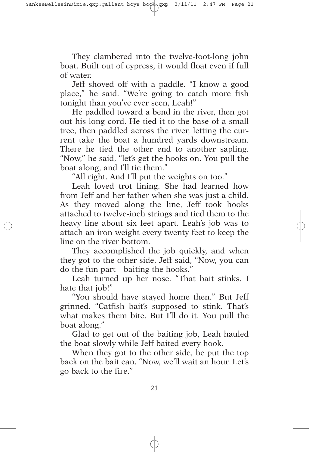They clambered into the twelve-foot-long john boat. Built out of cypress, it would float even if full of water.

Jeff shoved off with a paddle. "I know a good place," he said. "We're going to catch more fish tonight than you've ever seen, Leah!"

He paddled toward a bend in the river, then got out his long cord. He tied it to the base of a small tree, then paddled across the river, letting the current take the boat a hundred yards downstream. There he tied the other end to another sapling. "Now," he said, "let's get the hooks on. You pull the boat along, and I'll tie them."

"All right. And I'll put the weights on too."

Leah loved trot lining. She had learned how from Jeff and her father when she was just a child. As they moved along the line, Jeff took hooks attached to twelve-inch strings and tied them to the heavy line about six feet apart. Leah's job was to attach an iron weight every twenty feet to keep the line on the river bottom.

They accomplished the job quickly, and when they got to the other side, Jeff said, "Now, you can do the fun part—baiting the hooks."

Leah turned up her nose. "That bait stinks. I hate that job!"

"You should have stayed home then." But Jeff grinned. "Catfish bait's supposed to stink. That's what makes them bite. But I'll do it. You pull the boat along."

Glad to get out of the baiting job, Leah hauled the boat slowly while Jeff baited every hook.

When they got to the other side, he put the top back on the bait can. "Now, we'll wait an hour. Let's go back to the fire."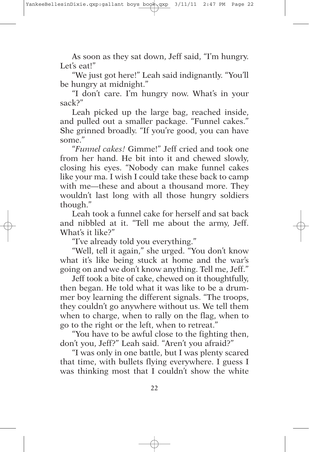As soon as they sat down, Jeff said, "I'm hungry. Let's eat!"

"We just got here!" Leah said indignantly. "You'll be hungry at midnight."

"I don't care. I'm hungry now. What's in your sack?"

Leah picked up the large bag, reached inside, and pulled out a smaller package. "Funnel cakes." She grinned broadly. "If you're good, you can have some."

"*Funnel cakes!* Gimme!" Jeff cried and took one from her hand. He bit into it and chewed slowly, closing his eyes. "Nobody can make funnel cakes like your ma. I wish I could take these back to camp with me—these and about a thousand more. They wouldn't last long with all those hungry soldiers though."

Leah took a funnel cake for herself and sat back and nibbled at it. "Tell me about the army, Jeff. What's it like?"

"I've already told you everything."

"Well, tell it again," she urged. "You don't know what it's like being stuck at home and the war's going on and we don't know anything. Tell me, Jeff."

Jeff took a bite of cake, chewed on it thoughtfully, then began. He told what it was like to be a drummer boy learning the different signals. "The troops, they couldn't go anywhere without us. We tell them when to charge, when to rally on the flag, when to go to the right or the left, when to retreat."

"You have to be awful close to the fighting then, don't you, Jeff?" Leah said. "Aren't you afraid?"

"I was only in one battle, but I was plenty scared that time, with bullets flying everywhere. I guess I was thinking most that I couldn't show the white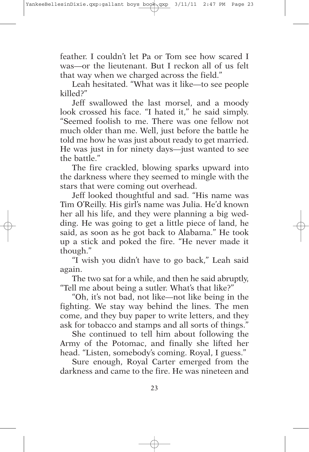feather. I couldn't let Pa or Tom see how scared I was—or the lieutenant. But I reckon all of us felt that way when we charged across the field."

Leah hesitated. "What was it like—to see people killed?"

Jeff swallowed the last morsel, and a moody look crossed his face. "I hated it," he said simply. "Seemed foolish to me. There was one fellow not much older than me. Well, just before the battle he told me how he was just about ready to get married. He was just in for ninety days—just wanted to see the battle."

The fire crackled, blowing sparks upward into the darkness where they seemed to mingle with the stars that were coming out overhead.

Jeff looked thoughtful and sad. "His name was Tim O'Reilly. His girl's name was Julia. He'd known her all his life, and they were planning a big wedding. He was going to get a little piece of land, he said, as soon as he got back to Alabama." He took up a stick and poked the fire. "He never made it though."

"I wish you didn't have to go back," Leah said again.

The two sat for a while, and then he said abruptly, "Tell me about being a sutler. What's that like?"

"Oh, it's not bad, not like—not like being in the fighting. We stay way behind the lines. The men come, and they buy paper to write letters, and they ask for tobacco and stamps and all sorts of things."

She continued to tell him about following the Army of the Potomac, and finally she lifted her head. "Listen, somebody's coming. Royal, I guess."

Sure enough, Royal Carter emerged from the darkness and came to the fire. He was nineteen and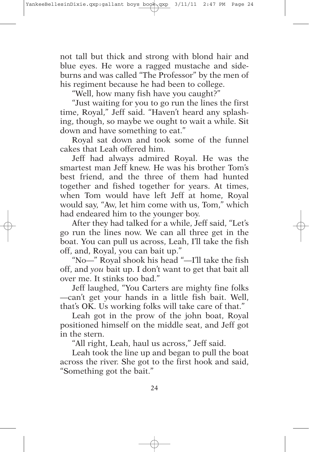not tall but thick and strong with blond hair and blue eyes. He wore a ragged mustache and sideburns and was called "The Professor" by the men of his regiment because he had been to college.

"Well, how many fish have you caught?"

"Just waiting for you to go run the lines the first time, Royal," Jeff said. "Haven't heard any splashing, though, so maybe we ought to wait a while. Sit down and have something to eat."

Royal sat down and took some of the funnel cakes that Leah offered him.

Jeff had always admired Royal. He was the smartest man Jeff knew. He was his brother Tom's best friend, and the three of them had hunted together and fished together for years. At times, when Tom would have left Jeff at home, Royal would say, "Aw, let him come with us, Tom," which had endeared him to the younger boy.

After they had talked for a while, Jeff said, "Let's go run the lines now. We can all three get in the boat. You can pull us across, Leah, I'll take the fish off, and, Royal, you can bait up."

"No—" Royal shook his head "—I'll take the fish off, and *you* bait up. I don't want to get that bait all over me. It stinks too bad."

Jeff laughed, "You Carters are mighty fine folks —can't get your hands in a little fish bait. Well, that's OK. Us working folks will take care of that."

Leah got in the prow of the john boat, Royal positioned himself on the middle seat, and Jeff got in the stern.

"All right, Leah, haul us across," Jeff said.

Leah took the line up and began to pull the boat across the river. She got to the first hook and said, "Something got the bait."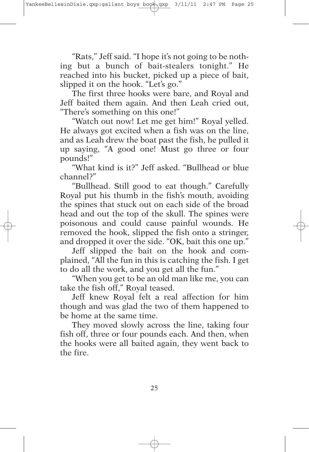"Rats," Jeff said. "I hope it's not going to be nothing but a bunch of bait-stealers tonight." He reached into his bucket, picked up a piece of bait, slipped it on the hook. "Let's go."

The first three hooks were bare, and Royal and Jeff baited them again. And then Leah cried out, "There's something on this one!"

"Watch out now! Let me get him!" Royal yelled. He always got excited when a fish was on the line, and as Leah drew the boat past the fish, he pulled it up saying, "A good one! Must go three or four pounds!"

"What kind is it?" Jeff asked. "Bullhead or blue channel?"

"Bullhead. Still good to eat though." Carefully Royal put his thumb in the fish's mouth, avoiding the spines that stuck out on each side of the broad head and out the top of the skull. The spines were poisonous and could cause painful wounds. He removed the hook, slipped the fish onto a stringer, and dropped it over the side. "OK, bait this one up."

Jeff slipped the bait on the hook and complained, "All the fun in this is catching the fish. I get to do all the work, and you get all the fun."

"When you get to be an old man like me, you can take the fish off," Royal teased.

Jeff knew Royal felt a real affection for him though and was glad the two of them happened to be home at the same time.

They moved slowly across the line, taking four fish off, three or four pounds each. And then, when the hooks were all baited again, they went back to the fire.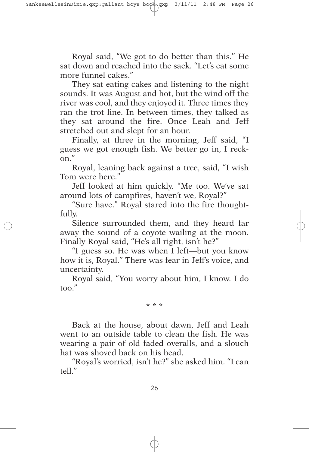Royal said, "We got to do better than this." He sat down and reached into the sack. "Let's eat some more funnel cakes."

They sat eating cakes and listening to the night sounds. It was August and hot, but the wind off the river was cool, and they enjoyed it. Three times they ran the trot line. In between times, they talked as they sat around the fire. Once Leah and Jeff stretched out and slept for an hour.

Finally, at three in the morning, Jeff said, "I guess we got enough fish. We better go in, I reckon."

Royal, leaning back against a tree, said, "I wish Tom were here."

Jeff looked at him quickly. "Me too. We've sat around lots of campfires, haven't we, Royal?"

"Sure have." Royal stared into the fire thoughtfully.

Silence surrounded them, and they heard far away the sound of a coyote wailing at the moon. Finally Royal said, "He's all right, isn't he?"

"I guess so. He was when I left—but you know how it is, Royal." There was fear in Jeff's voice, and uncertainty.

Royal said, "You worry about him, I know. I do too."

\* \* \*

Back at the house, about dawn, Jeff and Leah went to an outside table to clean the fish. He was wearing a pair of old faded overalls, and a slouch hat was shoved back on his head.

"Royal's worried, isn't he?" she asked him. "I can tell."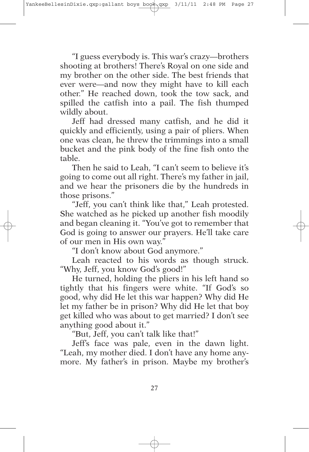"I guess everybody is. This war's crazy—brothers shooting at brothers! There's Royal on one side and my brother on the other side. The best friends that ever were—and now they might have to kill each other." He reached down, took the tow sack, and spilled the catfish into a pail. The fish thumped wildly about.

Jeff had dressed many catfish, and he did it quickly and efficiently, using a pair of pliers. When one was clean, he threw the trimmings into a small bucket and the pink body of the fine fish onto the table.

Then he said to Leah, "I can't seem to believe it's going to come out all right. There's my father in jail, and we hear the prisoners die by the hundreds in those prisons."

"Jeff, you can't think like that," Leah protested. She watched as he picked up another fish moodily and began cleaning it. "You've got to remember that God is going to answer our prayers. He'll take care of our men in His own way."

"I don't know about God anymore."

Leah reacted to his words as though struck. "Why, Jeff, you know God's good!"

He turned, holding the pliers in his left hand so tightly that his fingers were white. "If God's so good, why did He let this war happen? Why did He let my father be in prison? Why did He let that boy get killed who was about to get married? I don't see anything good about it."

"But, Jeff, you can't talk like that!"

Jeff's face was pale, even in the dawn light. "Leah, my mother died. I don't have any home anymore. My father's in prison. Maybe my brother's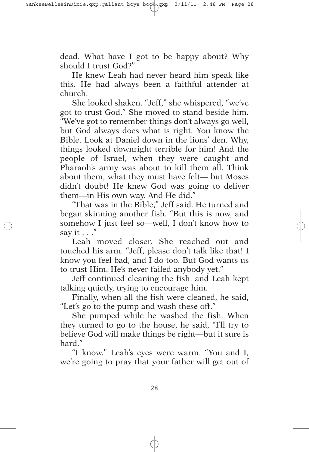dead. What have I got to be happy about? Why should I trust God?"

He knew Leah had never heard him speak like this. He had always been a faithful attender at church.

She looked shaken. "Jeff," she whispered, "we've got to trust God." She moved to stand beside him. "We've got to remember things don't always go well, but God always does what is right. You know the Bible. Look at Daniel down in the lions' den. Why, things looked downright terrible for him! And the people of Israel, when they were caught and Pharaoh's army was about to kill them all. Think about them, what they must have felt— but Moses didn't doubt! He knew God was going to deliver them—in His own way. And He did."

"That was in the Bible," Jeff said. He turned and began skinning another fish. "But this is now, and somehow I just feel so—well, I don't know how to say it . . ."

Leah moved closer. She reached out and touched his arm. "Jeff, please don't talk like that! I know you feel bad, and I do too. But God wants us to trust Him. He's never failed anybody yet."

Jeff continued cleaning the fish, and Leah kept talking quietly, trying to encourage him.

Finally, when all the fish were cleaned, he said, "Let's go to the pump and wash these off."

She pumped while he washed the fish. When they turned to go to the house, he said, "I'll try to believe God will make things be right—but it sure is hard."

"I know." Leah's eyes were warm. "You and I, we're going to pray that your father will get out of